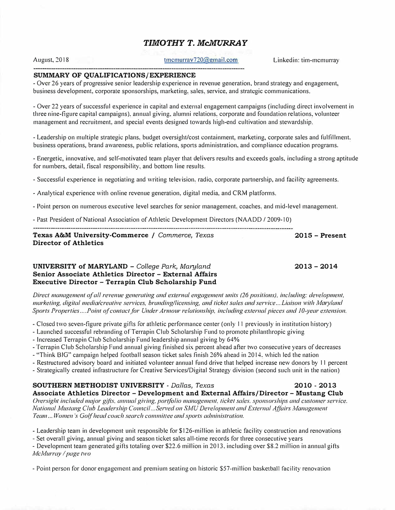# *TIMOTHY T. McMURRAY*

tmcmurrav720@gmail.com Linkedin: tim-mcmurray

## **SUMMARY OF QUALIFICATIONS/EXPERIENCE**

August, 2018

- Over 26 years of progressive senior leadership experience in revenue generation, brand strategy and engagement, business development, corporate sponsorships, marketing. sales. service, and strategic communications.

- Over 22 years of successful experience in capital and external engagement campaigns (including direct involvement in three nine-figure capital campaigns). annual giving, alumni relations. corporate and foundation relations, volunteer management and recruitment, and special events designed towards high-end cultivation and stewardship.

- Leadership on multiple strategic plans. budget oversight/cost containment, marketing, corporate sales and fulfillment. business operations, brand awareness, public relations, sports administration, and compliance education programs.

- Energetic, innovative, and self-motivated team player that delivers results and exceeds goals, including a strong aptitude for numbers, detail, fiscal responsibility. and bottom line results.

- Successful experience in negotiating and writing television. radio, corporate partnership, and facility agreements.

- Analytical experience with online revenue generation, digital media, and CRM platforms.

- Point person on numerous executive level searches for senior management. coaches. and mid-level management.

- Past President of National Association of Athletic Development Directors (NAADD / 2009-10)

**Texas A&M University-Commerce /** *Commerce, Texas*  **Director of Athletics** 

**2015 - Present** 

**2013 - 2014** 

### **UNIVERSITY of MARYLAND -** *College Park, Maryland*  **Senior Associate Athletics Director - External Affairs Executive Director - Terrapin Club Scholarship Fund**

*Direct management of all revenue generating and external engagement units (26 positions), including: development, marketing, digital media/creative services, branding/licensing, and ticket sales and service... Liaison with Maryland Sports Properties.... Point of contact for Under Armour relationship, including external pieces and 10-year extension.* 

- Closed two seven-figure private gifts for athletic performance center (only 11 previously in institution histor<sup>y</sup> )

- Launched successful rebranding of Terrapin Club Scholarship Fund to promote philanthropic giving

- Increased Terrapin Club Scholarship Fund leadership annual giving by 64%

- Terrapin Club Scholarship Fund annual giving finished six percent ahead after two consecutive years of decreases
- "Think BIG" campaign helped football season ticket sales linish 26% ahead in 2014. which led the nation
- Restructured advisory board and initiated volunteer annual fund drive that helped increase new donors by 11 percent
- Strategically created infrastructure for Creative Services/Digital Strategy division (second such unit in the nation)

# **SOUTHERN METHODIST UNIVERSITY -** *Dallas, Texas* **2010 - 2013 Associate Athletics Director - Development and External Affairs/Director - Mustang Club**

*Oversight included major gifts, annual giving, portfolio management, ticket sales, sponsorships and customer service. National Mustang Club Leadership Co1111cil ... Served on SMU Development and Extemal Affairs Management Team ... Women's Golf head coach search committee and sports administration.* 

- Leadership team in development unit responsible for \$126-million in athletic facility construction and renovations

- Set overall giving, annual giving and season ticket sales all-time records for three consecutive years

- Development team generated gifts totaling over \$22.6 million in 2013, including over \$8.2 million in annual gifts *McMurray I page two*

- Point person for donor engagement and premium seating on historic \$57-million basketball facility renovation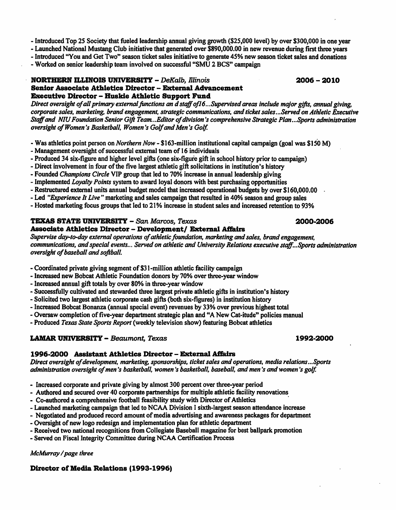- Introduced Top 25 Society that fueled leadership annual giving growth (\$25,000 level) by over \$300,000 in one year

- Launched National Mustang Club initiative that generated over \$890,000.00 in new revenue during first three vears

- Introduced "You and Get Two" season ticket sales initiative to generate 45% new season ticket sales and donations

- Worked on senior leadership team involved on successful "SMU 2 BCS" campaign

### **NORTHERN ILLINOIS UNIVERSITY - DeKalb. Illinois** Senior Associate Athletics Director - External Advancement Executive Director - Huskie Athletic Support Fund

Direct oversight of all primary external functions an d staff of 16...Supervised areas include major gifts, annual giving. corporate sales, marketing, brand engagement, strategic communications, and ticket sales...Served on Athletic Executive Staff and NIU Foundation Senior Gift Team...Editor of division's comprehensive Strategic Plan...Sports administration oversight of Women's Basketball. Women's Golf and Men's Golf.

- Was athletics point person on *Northern Now* \$163-million institutional capital campaign (goal was \$150 M)
- Management oversight of successful external team of 16 individuals
- Produced 34 six-figure and higher level gifts (one six-figure gift in school history prior to campaign)
- Direct involvement in four of the five largest athletic gift solicitations in institution's history
- Founded Champions Circle VIP group that led to 70% increase in annual leadership giving
- Implemented Lovalty Points system to award loval donors with best purchasing opportunities
- Restructured external units annual budget model that increased operational budgets by over \$160,000.00
- Led "Experience It Live" marketing and sales campaign that resulted in 40% season and group sales
- Hosted marketing focus groups that led to 21% increase in student sales and increased retention to 93%

### TEXAS STATE UNIVERSITY - San Marcos, Texas **Associate Athletics Director - Development/ External Affairs**

Supervise day-to-day external operations of athletic foundation, marketing and sales, brand engagement, communications, and special events... Served on athletic and University Relations executive staff... Sports administration oversight of baseball and softball.

- Coordinated private giving segment of \$31-million athletic facility campaign
- Increased new Bobcat Athletic Foundation donors by 70% over three-year window
- Increased annual gift totals by over 80% in three-year window
- Successfully cultivated and stewarded three largest private athletic gifts in institution's history
- Solicited two largest athletic corporate cash gifts (both six-figures) in institution history
- Increased Bobcat Bonanza (annual special event) revenues by 33% over previous highest total
- Oversaw completion of five-year department strategic plan and "A New Cat-itude" policies manual

- Produced Texas State Sports Report (weekly television show) featuring Bobcat athletics

## **LAMAR UNIVERSITY - Beaumont, Texas**

## 1996-2000 Assistant Athletics Director – External Affairs

Direct oversight of development, marketing, sponsorships, ticket sales and operations, media relations...Sports administration oversight of men's basketball, women's basketball, baseball, and men's and women's golf.

- Increased corporate and private giving by almost 300 percent over three-year period
- Authored and secured over 40 corporate partnerships for multiple athletic facility renovations
- Co-authored a comprehensive football feasibility study with Director of Athletics
- Launched marketing campaign that led to NCAA Division I sixth-largest season attendance increase
- Negotiated and produced record amount of media advertising and awareness packages for department
- Oversight of new logo redesign and implementation plan for athletic department
- Received two national recognitions from Collegiate Baseball magazine for best ballpark promotion
- Served on Fiscal Integrity Committee during NCAA Certification Process

McMurray / page three

## Director of Media Relations (1993-1996)

# 2000-2006

## 1992-2000

 $2006 - 2010$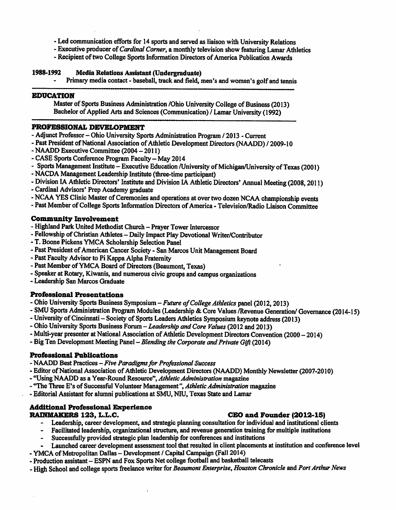- Led communication efforts for 14 sports and served as liaison with University Relations
- Executive producer of Cardinal Corner, a monthly television show featuring Lamar Athletics
- Recipient of two College Sports Information Directors of America Publication Awards

### 1988-1992 **Media Relations Assistant (Undergraduate)**

Primary media contact - baseball, track and field, men's and women's golf and tennis

### **EDUCATION**

Master of Sports Business Administration /Ohio University College of Business (2013) Bachelor of Applied Arts and Sciences (Communication) / Lamar University (1992)

### PROFESSIONAL DEVELOPMENT

- Adjunct Professor Ohio University Sports Administration Program / 2013 Current
- Past President of National Association of Athletic Development Directors (NAADD) / 2009-10
- NAADD Executive Committee (2004 2011)
- CASE Sports Conference Program Faculty May 2014
- Sports Management Institute Executive Education /University of Michigan/University of Texas (2001)
- NACDA Management Leadership Institute (three-time participant)
- Division IA Athletic Directors' Institute and Division IA Athletic Directors' Annual Meeting (2008, 2011)
- Cardinal Advisors' Prep Academy graduate
- NCAA YES Clinic Master of Ceremonies and operations at over two dozen NCAA championship events
- Past Member of College Sports Information Directors of America Television/Radio Liaison Committee

## **Community Involvement**

- Highland Park United Methodist Church Prayer Tower Intercessor
- Fellowship of Christian Athletes Daily Impact Play Devotional Writer/Contributor
- T. Boone Pickens YMCA Scholarship Selection Panel
- Past President of American Cancer Society San Marcos Unit Management Board
- Past Faculty Advisor to Pi Kappa Alpha Fraternity
- Past Member of YMCA Board of Directors (Beaumont, Texas)
- Speaker at Rotary, Kiwanis, and numerous civic groups and campus organizations
- Leadership San Marcos Graduate

## **Professional Presentations**

- Ohio University Sports Business Symposium Future of College Athletics panel (2012, 2013)
- SMU Sports Administration Program Modules (Leadership & Core Values /Revenue Generation/ Governance (2014-15)
- University of Cincinnati Society of Sports Leaders Athletics Symposium keynote address (2013)
- Ohio University Sports Business Forum Leadership and Core Values (2012 and 2013)
- Multi-year presenter at National Association of Athletic Development Directors Convention (2000 2014)
- Big Ten Development Meeting Panel Blending the Corporate and Private Gift (2014)

## **Professional Publications**

- NAADD Best Practices Five Paradigms for Professional Success
- Editor of National Association of Athletic Development Directors (NAADD) Monthly Newsletter (2007-2010)
- "Using NAADD as a Year-Round Resource", Athletic Administration magazine
- "The Three E's of Successful Volunteer Management", Athletic Administration magazine
- Editorial Assistant for alumni publications at SMU, NIU, Texas State and Lamar

## **Additional Professional Experience**

## RAINMAKERS 123, L.L.C.

- Leadership, career development, and strategic planning consultation for individual and institutional clients
- $\bullet$ Facilitated leadership, organizational structure, and revenue generation training for multiple institutions
- Successfully provided strategic plan leadership for conferences and institutions
- Launched career development assessment tool that resulted in client placements at institution and conference level
- YMCA of Metropolitan Dallas -- Development / Capital Campaign (Fall 2014)
- Production assistant ESPN and Fox Sports Net college football and basketball telecasts
- High School and college sports freelance writer for Beaumont Enterprise, Houston Chronicle and Port Arthur News

# CEO and Founder (2012-15)